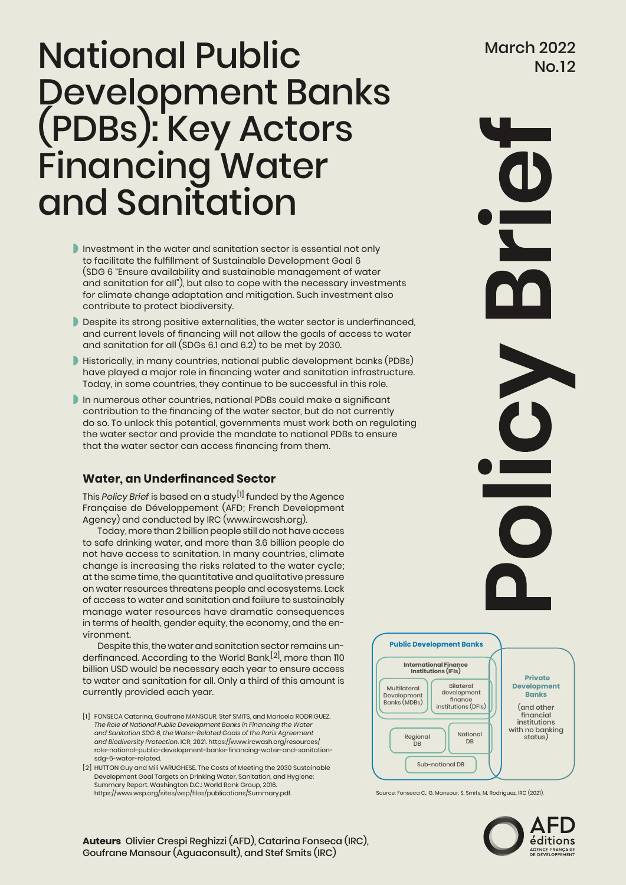# Mational Public March 2022 Development Banks (PDBs): Key Actors Financing Water and Sanitation

- Investment in the water and sanitation sector is essential not only to facilitate the fulfillment of Sustainable Development Goal 6 (SDG 6 "Ensure availability and sustainable management of water and sanitation for all"), but also to cope with the necessary investments for climate change adaptation and mitigation. Such investment also contribute to protect biodiversity.
- Despite its strong positive externalities, the water sector is underfinanced, and current levels of financing will not allow the goals of access to water and sanitation for all (SDGs 6.1 and 6.2) to be met by 2030.
- Historically, in many countries, national public development banks (PDBs) have played a major role in financing water and sanitation infrastructure. Today, in some countries, they continue to be successful in this role.
- In numerous other countries, national PDBs could make a significant contribution to the financing of the water sector, but do not currently do so. To unlock this potential, governments must work both on regulating the water sector and provide the mandate to national PDBs to ensure that the water sector can access financing from them.

# **Water, an Underfinanced Sector**

This *Policy Brief* is based on a study[1] funded by the Agence Française de Développement (AFD; French Development Agency) and conducted by IRC (www.ircwash.org).

Today, more than 2 billion people still do not have access to safe drinking water, and more than 3.6 billion people do not have access to sanitation. In many countries, climate change is increasing the risks related to the water cycle; at the same time, the quantitative and qualitative pressure on water resources threatens people and ecosystems. Lack of access to water and sanitation and failure to sustainably manage water resources have dramatic consequences in terms of health, gender equity, the economy, and the environment.

Despite this, the water and sanitation sector remains underfinanced. According to the World Bank,<sup>[2]</sup>, more than 110 billion USD would be necessary each year to ensure access to water and sanitation for all. Only a third of this amount is currently provided each year.

- [1] FONSECA Catarina, Goufrane MANSOUR, Stef SMITS, and Maricela RODRIGUEZ. *The Role of National Public Development Banks in Financing the Water and Sanitation SDG 6, the Water-Related Goals of the Paris Agreement and Biodiversity Protection.* ICR, 2021. [https://www.ircwash.org/resources/]([1]	FONSECA Catarina, Goufrane MANSOUR, Stef SMITS, and Maricela RODRIGUEZ. The Role of National Public Development Banks in Financing the Water and Sanitation SDG 6, the Water-Related Goals of the Paris Agreement and Biodiversity Protection. ICR, 2021. https://www.ircwash.org/resources/role-national-public-development-banks-financing-water-and-sanitation-sdg-6-water-related.) [role-national-public-development-banks-financing-water-and-sanitation]([1]	FONSECA Catarina, Goufrane MANSOUR, Stef SMITS, and Maricela RODRIGUEZ. The Role of National Public Development Banks in Financing the Water and Sanitation SDG 6, the Water-Related Goals of the Paris Agreement and Biodiversity Protection. ICR, 2021. https://www.ircwash.org/resources/role-national-public-development-banks-financing-water-and-sanitation-sdg-6-water-related.)[sdg-6-water-related]([1]	FONSECA Catarina, Goufrane MANSOUR, Stef SMITS, and Maricela RODRIGUEZ. The Role of National Public Development Banks in Financing the Water and Sanitation SDG 6, the Water-Related Goals of the Paris Agreement and Biodiversity Protection. ICR, 2021. https://www.ircwash.org/resources/role-national-public-development-banks-financing-water-and-sanitation-sdg-6-water-related.).
- [2] HUTTON Guy and Mili VARUGHESE. The Costs of Meeting the 2030 Sustainable Development Goal Targets on Drinking Water, Sanitation, and Hygiene: Summary Report. Washington D.C.: World Bank Group, 2016. <https://www.wsp.org/sites/wsp/files/publications/Summary.pdf>.



Source: Fonseca C., G. Mansour, S. Smits, M. Rodriguez, IRC (2021),



U

**Auteurs** Olivier Crespi Reghizzi (AFD), Catarina Fonseca (IRC), Goufrane Mansour (Aguaconsult), and Stef Smits (IRC)